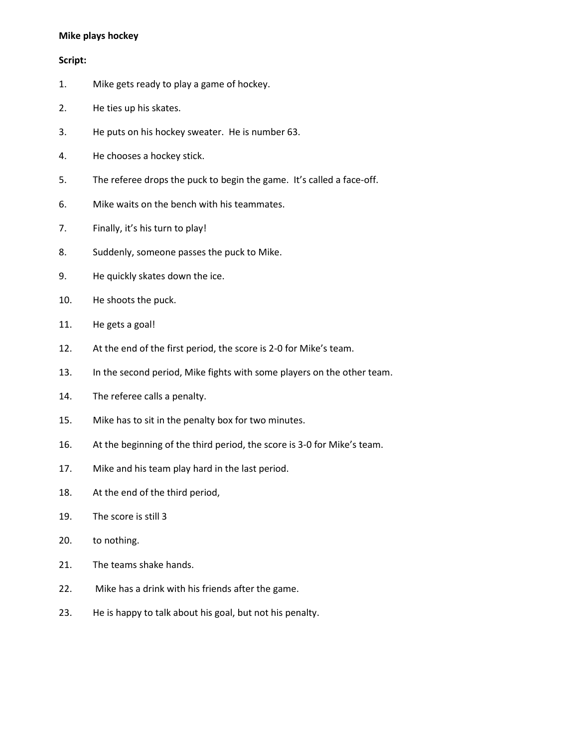#### **Mike plays hockey**

#### **Script:**

- 1. Mike gets ready to play a game of hockey.
- 2. He ties up his skates.
- 3. He puts on his hockey sweater. He is number 63.
- 4. He chooses a hockey stick.
- 5. The referee drops the puck to begin the game. It's called a face-off.
- 6. Mike waits on the bench with his teammates.
- 7. Finally, it's his turn to play!
- 8. Suddenly, someone passes the puck to Mike.
- 9. He quickly skates down the ice.
- 10. He shoots the puck.
- 11. He gets a goal!
- 12. At the end of the first period, the score is 2-0 for Mike's team.
- 13. In the second period, Mike fights with some players on the other team.
- 14. The referee calls a penalty.
- 15. Mike has to sit in the penalty box for two minutes.
- 16. At the beginning of the third period, the score is 3-0 for Mike's team.
- 17. Mike and his team play hard in the last period.
- 18. At the end of the third period,
- 19. The score is still 3
- 20. to nothing.
- 21. The teams shake hands.
- 22. Mike has a drink with his friends after the game.
- 23. He is happy to talk about his goal, but not his penalty.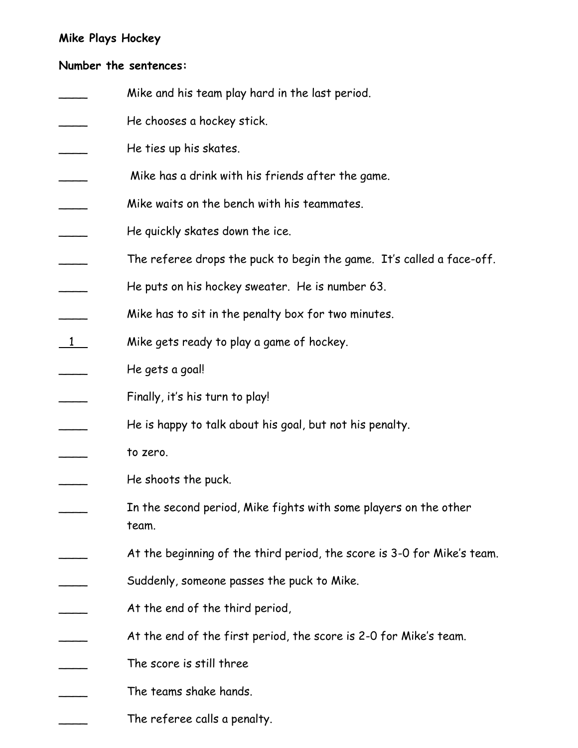## **Mike Plays Hockey**

### **Number the sentences:**

- Mike and his team play hard in the last period.
- He chooses a hockey stick.
- He ties up his skates.
- Mike has a drink with his friends after the game.
- Mike waits on the bench with his teammates.
- He quickly skates down the ice.
- The referee drops the puck to begin the game. It's called a face-off.
- He puts on his hockey sweater. He is number 63.
- Mike has to sit in the penalty box for two minutes.
- $\frac{1}{\sqrt{1-\frac{1}{\pi}}}$  Mike gets ready to play a game of hockey.
- He gets a goal!

Finally, it's his turn to play!

- He is happy to talk about his goal, but not his penalty.
- \_\_\_\_ to zero.
- He shoots the puck.
- In the second period, Mike fights with some players on the other team.
- At the beginning of the third period, the score is 3-0 for Mike's team.
- Suddenly, someone passes the puck to Mike.
- At the end of the third period,
	- At the end of the first period, the score is 2-0 for Mike's team.
- The score is still three
	- The teams shake hands.
- The referee calls a penalty.